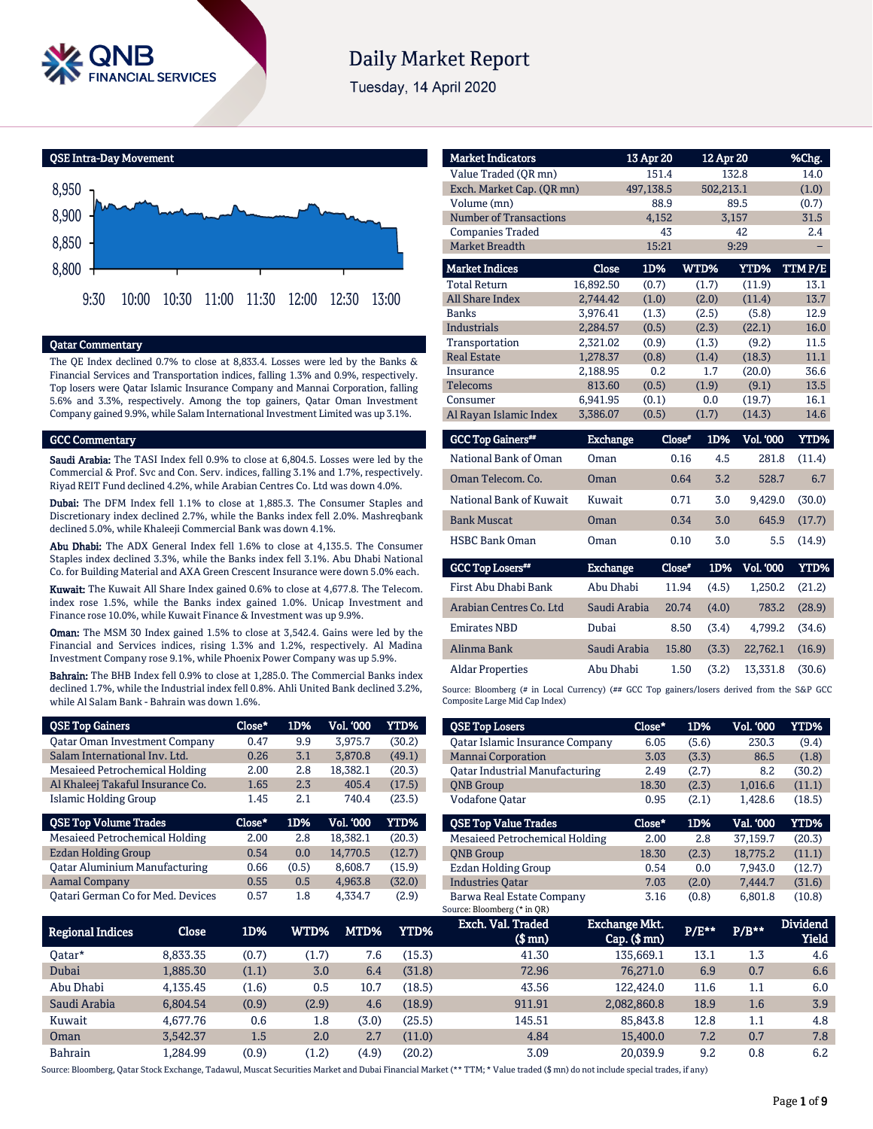

# **Daily Market Report**

Tuesday, 14 April 2020



# Qatar Commentary

The QE Index declined 0.7% to close at 8,833.4. Losses were led by the Banks & Financial Services and Transportation indices, falling 1.3% and 0.9%, respectively. Top losers were Qatar Islamic Insurance Company and Mannai Corporation, falling 5.6% and 3.3%, respectively. Among the top gainers, Qatar Oman Investment Company gained 9.9%, while Salam International Investment Limited was up 3.1%.

#### GCC Commentary

Saudi Arabia: The TASI Index fell 0.9% to close at 6,804.5. Losses were led by the Commercial & Prof. Svc and Con. Serv. indices, falling 3.1% and 1.7%, respectively. Riyad REIT Fund declined 4.2%, while Arabian Centres Co. Ltd was down 4.0%.

Dubai: The DFM Index fell 1.1% to close at 1,885.3. The Consumer Staples and Discretionary index declined 2.7%, while the Banks index fell 2.0%. Mashreqbank declined 5.0%, while Khaleeji Commercial Bank was down 4.1%.

Abu Dhabi: The ADX General Index fell 1.6% to close at 4,135.5. The Consumer Staples index declined 3.3%, while the Banks index fell 3.1%. Abu Dhabi National Co. for Building Material and AXA Green Crescent Insurance were down 5.0% each.

Kuwait: The Kuwait All Share Index gained 0.6% to close at 4,677.8. The Telecom. index rose 1.5%, while the Banks index gained 1.0%. Unicap Investment and Finance rose 10.0%, while Kuwait Finance & Investment was up 9.9%.

Oman: The MSM 30 Index gained 1.5% to close at 3,542.4. Gains were led by the Financial and Services indices, rising 1.3% and 1.2%, respectively. Al Madina Investment Company rose 9.1%, while Phoenix Power Company was up 5.9%.

Bahrain: The BHB Index fell 0.9% to close at 1,285.0. The Commercial Banks index declined 1.7%, while the Industrial index fell 0.8%. Ahli United Bank declined 3.2%, while Al Salam Bank - Bahrain was down 1.6%.

| <b>QSE Top Gainers</b>               | Close* | 1D%   | <b>Vol. '000</b> | <b>YTD%</b> |
|--------------------------------------|--------|-------|------------------|-------------|
| <b>Qatar Oman Investment Company</b> | 0.47   | 9.9   | 3,975.7          | (30.2)      |
| Salam International Inv. Ltd.        | 0.26   | 3.1   | 3.870.8          | (49.1)      |
| Mesaieed Petrochemical Holding       | 2.00   | 2.8   | 18,382.1         | (20.3)      |
| Al Khaleej Takaful Insurance Co.     | 1.65   | 2.3   | 405.4            | (17.5)      |
| Islamic Holding Group                | 1.45   | 2.1   | 740.4            | (23.5)      |
|                                      |        |       |                  |             |
| <b>QSE Top Volume Trades</b>         | Close* | 1D%   | Vol. '000        | YTD%        |
| Mesaieed Petrochemical Holding       | 2.00   | 2.8   | 18.382.1         | (20.3)      |
| Ezdan Holding Group                  | 0.54   | 0.0   | 14,770.5         | (12.7)      |
| <b>Qatar Aluminium Manufacturing</b> | 0.66   | (0.5) | 8,608.7          | (15.9)      |
| <b>Aamal Company</b>                 | 0.55   | 0.5   | 4,963.8          | (32.0)      |

| <b>Market Indicators</b>  |           | 13 Apr 20 | 12 Apr 20 |        | %Chg.  |
|---------------------------|-----------|-----------|-----------|--------|--------|
| Value Traded (OR mn)      |           | 151.4     |           | 132.8  | 14.0   |
| Exch. Market Cap. (QR mn) |           | 497,138.5 | 502,213.1 |        | (1.0)  |
| Volume (mn)               |           | 88.9      |           | 89.5   | (0.7)  |
| Number of Transactions    |           | 4,152     |           | 3,157  | 31.5   |
| <b>Companies Traded</b>   |           | 43        |           | 42     | 2.4    |
| <b>Market Breadth</b>     |           | 15:21     |           | 9:29   |        |
| <b>Market Indices</b>     | Close     | 1D%       | WTD%      | YTD%   | TTMP/E |
| <b>Total Return</b>       | 16,892.50 | (0.7)     | (1.7)     | (11.9) | 13.1   |
| <b>All Share Index</b>    | 2,744.42  | (1.0)     | (2.0)     | (11.4) | 13.7   |
| <b>Banks</b>              | 3,976.41  | (1.3)     | (2.5)     | (5.8)  | 12.9   |
| Industrials               | 2,284.57  | (0.5)     | (2.3)     | (22.1) | 16.0   |
| Transportation            | 2.321.02  | (0.9)     | (1.3)     | (9.2)  | 11.5   |
| <b>Real Estate</b>        | 1,278.37  | (0.8)     | (1.4)     | (18.3) | 11.1   |
| Insurance                 | 2,188.95  | 0.2       | 1.7       | (20.0) | 36.6   |
| <b>Telecoms</b>           | 813.60    | (0.5)     | (1.9)     | (9.1)  | 13.5   |
| Consumer                  | 6,941.95  | (0.1)     | 0.0       | (19.7) | 16.1   |
| Al Rayan Islamic Index    | 3,386.07  | (0.5)     | (1.7)     | (14.3) | 14.6   |

| <b>GCC Top Gainers**</b> | <b>Exchange</b> | Close* | 1D% | <b>Vol. '000</b> | YTD%   |
|--------------------------|-----------------|--------|-----|------------------|--------|
| National Bank of Oman    | Oman            | 0.16   | 4.5 | 281.8            | (11.4) |
| Oman Telecom. Co.        | Oman            | 0.64   | 3.2 | 528.7            | 6.7    |
| National Bank of Kuwait  | Kuwait          | 0.71   | 3.0 | 9.429.0          | (30.0) |
| <b>Bank Muscat</b>       | Oman            | 0.34   | 3.0 | 645.9            | (17.7) |
| <b>HSBC Bank Oman</b>    | Oman            | 0.10   | 3.0 | 5.5              | (14.9) |

| <b>GCC Top Losers**</b> | <b>Exchange</b> | Close* |       | 1D% Vol. 000 | YTD%   |
|-------------------------|-----------------|--------|-------|--------------|--------|
| First Abu Dhabi Bank    | Abu Dhabi       | 11.94  | (4.5) | 1.250.2      | (21.2) |
| Arabian Centres Co. Ltd | Saudi Arabia    | 20.74  | (4.0) | 783.2        | (28.9) |
| <b>Emirates NBD</b>     | Dubai           | 8.50   | (3.4) | 4.799.2      | (34.6) |
| Alinma Bank             | Saudi Arabia    | 15.80  | (3.3) | 22.762.1     | (16.9) |
| <b>Aldar Properties</b> | Abu Dhabi       | 1.50   | (3.2) | 13.331.8     | (30.6) |
|                         |                 |        |       |              |        |

Source: Bloomberg (# in Local Currency) (## GCC Top gainers/losers derived from the S&P GCC Composite Large Mid Cap Index)

| <b>QSE Top Losers</b>                  | Close* | 1D%   | <b>Vol. '000</b> | YTD%   |
|----------------------------------------|--------|-------|------------------|--------|
| <b>Qatar Islamic Insurance Company</b> | 6.05   | (5.6) | 230.3            | (9.4)  |
| <b>Mannai Corporation</b>              | 3.03   | (3.3) | 86.5             | (1.8)  |
| Oatar Industrial Manufacturing         | 2.49   | (2.7) | 8.2              | (30.2) |
| <b>ONB</b> Group                       | 18.30  | (2.3) | 1,016.6          | (11.1) |
| Vodafone Qatar                         | 0.95   | (2.1) | 1.428.6          | (18.5) |
|                                        |        |       |                  |        |
| <b>OSE Top Value Trades</b>            | Close* | 1D%   | Val. '000        | YTD%   |
| Mesaieed Petrochemical Holding         | 2.00   | 2.8   | 37.159.7         | (20.3) |
| <b>ONB</b> Group                       | 18.30  | (2.3) | 18,775.2         | (11.1) |
| Ezdan Holding Group                    | 0.54   | 0.0   | 7.943.0          | (12.7) |
| <b>Industries Oatar</b>                | 7.03   | (2.0) | 7.444.7          | (31.6) |

| Regional Indices | Close    | 1D%   | WTD%  | MTD%  | YTD%   | Exch. Val. Traded<br>$$$ mn $)$ | <b>Exchange Mkt.</b><br>$Cap.$ (\$ $mn$ ) | P/E** | $P/B**$ | <b>Dividend</b><br><b>Yield</b> |
|------------------|----------|-------|-------|-------|--------|---------------------------------|-------------------------------------------|-------|---------|---------------------------------|
| 0atar*           | 8.833.35 | (0.7) | (1.7) | 7.6   | (15.3) | 41.30                           | 135.669.1                                 | 13.1  | 1.3     | 4.6                             |
| Dubai            | 1,885.30 | (1.1) | 3.0   | 6.4   | (31.8) | 72.96                           | 76.271.0                                  | 6.9   | 0.7     | 6.6                             |
| Abu Dhabi        | 4.135.45 | (1.6) | 0.5   | 10.7  | (18.5) | 43.56                           | 122,424.0                                 | 11.6  | $1.1\,$ | 6.0                             |
| Saudi Arabia     | 6.804.54 | (0.9) | (2.9) | 4.6   | (18.9) | 911.91                          | 2,082,860.8                               | 18.9  | 1.6     | 3.9                             |
| Kuwait           | 4.677.76 | 0.6   | 1.8   | (3.0) | (25.5) | 145.51                          | 85,843.8                                  | 12.8  | 1.1     | 4.8                             |
| Oman             | 3.542.37 | 1.5   | 2.0   | 2.7   | (11.0) | 4.84                            | 15,400.0                                  | 7.2   | 0.7     | 7.8                             |
| <b>Bahrain</b>   | 1,284.99 | (0.9) | (1.2) | (4.9) | (20.2) | 3.09                            | 20.039.9                                  | 9.2   | 0.8     | 6.2                             |

Source: Bloomberg, Qatar Stock Exchange, Tadawul, Muscat Securities Market and Dubai Financial Market (\*\* TTM; \* Value traded (\$ mn) do not include special trades, if any)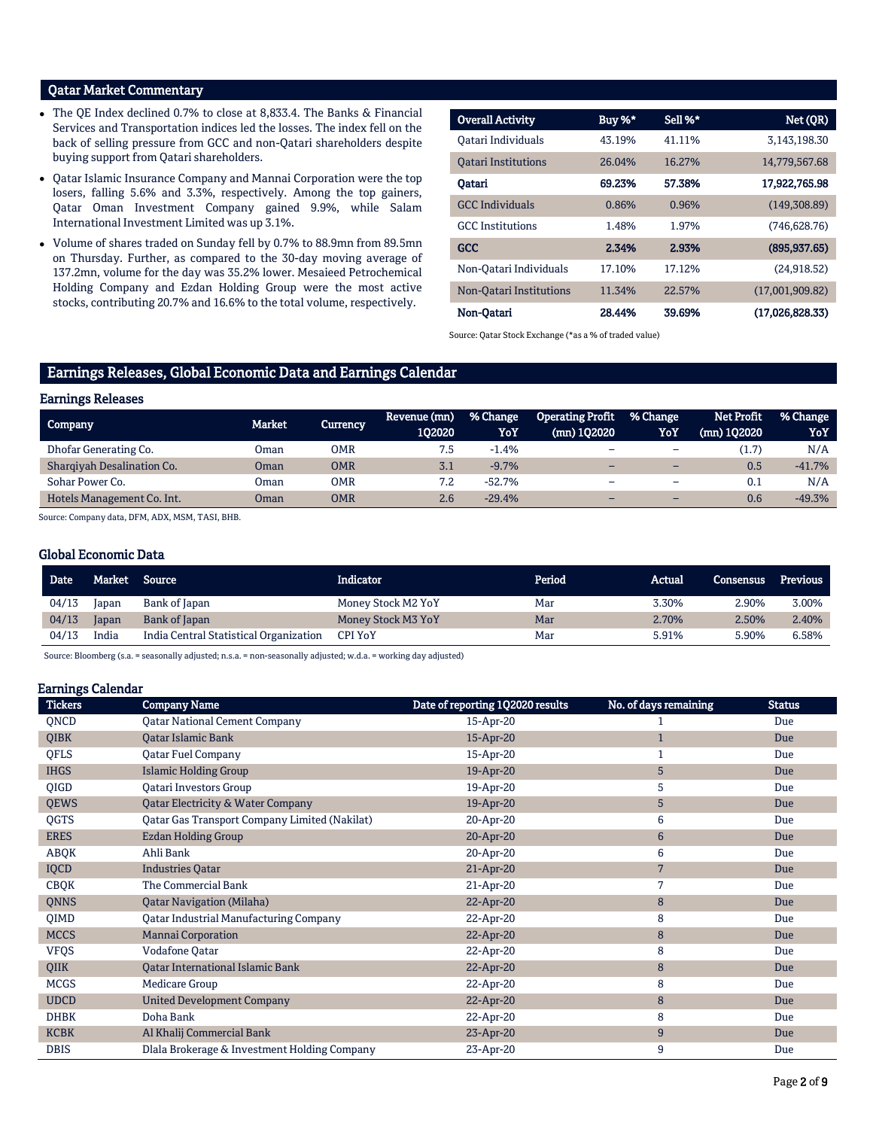# Qatar Market Commentary

- The QE Index declined 0.7% to close at 8,833.4. The Banks & Financial Services and Transportation indices led the losses. The index fell on the back of selling pressure from GCC and non-Qatari shareholders despite buying support from Qatari shareholders.
- Qatar Islamic Insurance Company and Mannai Corporation were the top losers, falling 5.6% and 3.3%, respectively. Among the top gainers, Qatar Oman Investment Company gained 9.9%, while Salam International Investment Limited was up 3.1%.
- Volume of shares traded on Sunday fell by 0.7% to 88.9mn from 89.5mn on Thursday. Further, as compared to the 30-day moving average of 137.2mn, volume for the day was 35.2% lower. Mesaieed Petrochemical Holding Company and Ezdan Holding Group were the most active stocks, contributing 20.7% and 16.6% to the total volume, respectively.

| <b>Overall Activity</b>    | Buy %* | Sell %* | Net (QR)        |
|----------------------------|--------|---------|-----------------|
| Oatari Individuals         | 43.19% | 41.11%  | 3.143.198.30    |
| <b>Oatari Institutions</b> | 26.04% | 16.27%  | 14,779,567.68   |
| Oatari                     | 69.23% | 57.38%  | 17,922,765.98   |
| <b>GCC</b> Individuals     | 0.86%  | 0.96%   | (149, 308.89)   |
| <b>GCC</b> Institutions    | 1.48%  | 1.97%   | (746, 628.76)   |
| <b>GCC</b>                 | 2.34%  | 2.93%   | (895, 937, 65)  |
| Non-Oatari Individuals     | 17.10% | 17.12%  | (24,918.52)     |
| Non-Oatari Institutions    | 11.34% | 22.57%  | (17,001,909.82) |
| Non-Oatari                 | 28.44% | 39.69%  | (17,026,828.33) |

Source: Qatar Stock Exchange (\*as a % of traded value)

# Earnings Releases, Global Economic Data and Earnings Calendar

#### Earnings Releases

| Company                    | <b>Market</b> | Currencv   | Revenue (mn)<br>102020 | % Change<br>YoY | Operating Profit<br>$(mn)$ 102020 | % Change<br>YoY          | Net Profit<br>$(mn)$ 102020 | % Change<br>YoY |
|----------------------------|---------------|------------|------------------------|-----------------|-----------------------------------|--------------------------|-----------------------------|-----------------|
| Dhofar Generating Co.      | Oman          | <b>OMR</b> | 7.5                    | $-1.4%$         | -                                 | $\overline{\phantom{0}}$ | (1.7)                       | N/A             |
| Sharqiyah Desalination Co. | Oman          | <b>OMR</b> | 3.1                    | $-9.7%$         |                                   |                          | 0.5                         | $-41.7%$        |
| Sohar Power Co.            | Oman          | <b>OMR</b> | 7.2                    | $-52.7%$        | -                                 | $\overline{\phantom{0}}$ | 0.1                         | N/A             |
| Hotels Management Co. Int. | Oman          | <b>OMR</b> | 2.6                    | $-29.4%$        | -                                 | $-$                      | 0.6                         | $-49.3%$        |

Source: Company data, DFM, ADX, MSM, TASI, BHB.

# Global Economic Data

| Date  |       | Market Source                          | Indicator          | Period | Actual | <b>Consensus</b> | <b>Previous</b> |
|-------|-------|----------------------------------------|--------------------|--------|--------|------------------|-----------------|
| 04/13 | Japan | Bank of Japan                          | Money Stock M2 YoY | Mar    | 3.30%  | 2.90%            | 3.00%           |
| 04/13 | Japan | Bank of Japan                          | Money Stock M3 YoY | Mar    | 2.70%  | 2.50%            | 2.40%           |
| 04/13 | India | India Central Statistical Organization | <b>CPI YoY</b>     | Mar    | 5.91%  | 5.90%            | 6.58%           |

Source: Bloomberg (s.a. = seasonally adjusted; n.s.a. = non-seasonally adjusted; w.d.a. = working day adjusted)

#### Earnings Calendar

| <b>Tickers</b> | <b>Company Name</b>                                  | Date of reporting 1Q2020 results | No. of days remaining | <b>Status</b> |
|----------------|------------------------------------------------------|----------------------------------|-----------------------|---------------|
| QNCD           | <b>Qatar National Cement Company</b>                 | 15-Apr-20                        |                       | Due           |
| <b>QIBK</b>    | Qatar Islamic Bank                                   | 15-Apr-20                        |                       | Due           |
| QFLS           | <b>Qatar Fuel Company</b>                            | 15-Apr-20                        |                       | Due           |
| <b>IHGS</b>    | <b>Islamic Holding Group</b>                         | 19-Apr-20                        | 5                     | Due           |
| QIGD           | <b>Qatari Investors Group</b>                        | 19-Apr-20                        | 5                     | Due           |
| <b>QEWS</b>    | <b>Qatar Electricity &amp; Water Company</b>         | 19-Apr-20                        | 5                     | Due           |
| QGTS           | <b>Qatar Gas Transport Company Limited (Nakilat)</b> | 20-Apr-20                        | 6                     | Due           |
| <b>ERES</b>    | <b>Ezdan Holding Group</b>                           | 20-Apr-20                        | 6                     | Due           |
| ABQK           | Ahli Bank                                            | 20-Apr-20                        | 6                     | Due           |
| <b>IQCD</b>    | <b>Industries Qatar</b>                              | 21-Apr-20                        | 7                     | Due           |
| <b>CBQK</b>    | The Commercial Bank                                  | $21-Apr-20$                      | 7                     | Due           |
| <b>QNNS</b>    | <b>Qatar Navigation (Milaha)</b>                     | 22-Apr-20                        | 8                     | Due           |
| QIMD           | <b>Qatar Industrial Manufacturing Company</b>        | 22-Apr-20                        | 8                     | Due           |
| <b>MCCS</b>    | <b>Mannai Corporation</b>                            | 22-Apr-20                        | 8                     | Due           |
| <b>VFQS</b>    | Vodafone Qatar                                       | 22-Apr-20                        | 8                     | Due           |
| QIIK           | Qatar International Islamic Bank                     | 22-Apr-20                        | 8                     | Due           |
| <b>MCGS</b>    | Medicare Group                                       | 22-Apr-20                        | 8                     | Due           |
| <b>UDCD</b>    | <b>United Development Company</b>                    | 22-Apr-20                        | 8                     | Due           |
| <b>DHBK</b>    | Doha Bank                                            | 22-Apr-20                        | 8                     | Due           |
| <b>KCBK</b>    | Al Khalij Commercial Bank                            | 23-Apr-20                        | 9                     | Due           |
| <b>DBIS</b>    | Dlala Brokerage & Investment Holding Company         | 23-Apr-20                        | 9                     | Due           |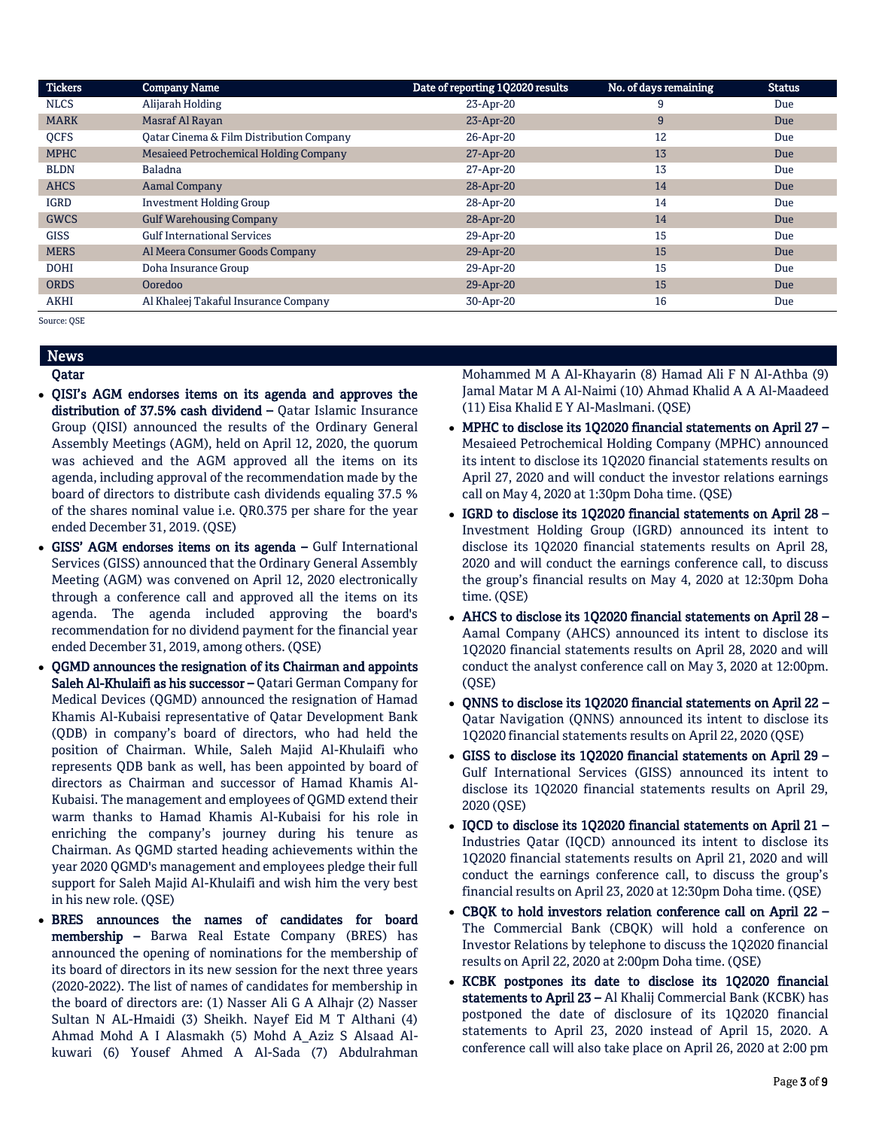| <b>Tickers</b> | <b>Company Name</b>                      | Date of reporting 1Q2020 results | No. of days remaining | <b>Status</b> |
|----------------|------------------------------------------|----------------------------------|-----------------------|---------------|
| <b>NLCS</b>    | Alijarah Holding                         | 23-Apr-20                        | 9                     | Due           |
| <b>MARK</b>    | Masraf Al Rayan                          | 23-Apr-20                        | 9                     | Due           |
| <b>OCFS</b>    | Oatar Cinema & Film Distribution Company | 26-Apr-20                        | 12                    | Due           |
| <b>MPHC</b>    | Mesaieed Petrochemical Holding Company   | 27-Apr-20                        | 13                    | Due           |
| <b>BLDN</b>    | <b>Baladna</b>                           | 27-Apr-20                        | 13                    | Due           |
| <b>AHCS</b>    | Aamal Company                            | 28-Apr-20                        | 14                    | Due           |
| <b>IGRD</b>    | <b>Investment Holding Group</b>          | 28-Apr-20                        | 14                    | Due           |
| <b>GWCS</b>    | <b>Gulf Warehousing Company</b>          | 28-Apr-20                        | 14                    | Due           |
| <b>GISS</b>    | <b>Gulf International Services</b>       | 29-Apr-20                        | 15                    | Due           |
| <b>MERS</b>    | Al Meera Consumer Goods Company          | 29-Apr-20                        | 15                    | <b>Due</b>    |
| <b>DOHI</b>    | Doha Insurance Group                     | 29-Apr-20                        | 15                    | Due           |
| <b>ORDS</b>    | Ooredoo                                  | 29-Apr-20                        | 15                    | Due           |
| <b>AKHI</b>    | Al Khaleej Takaful Insurance Company     | 30-Apr-20                        | 16                    | Due           |

Source: QSE

# News

# Qatar

- QISI's AGM endorses items on its agenda and approves the distribution of 37.5% cash dividend – Qatar Islamic Insurance Group (QISI) announced the results of the Ordinary General Assembly Meetings (AGM), held on April 12, 2020, the quorum was achieved and the AGM approved all the items on its agenda, including approval of the recommendation made by the board of directors to distribute cash dividends equaling 37.5 % of the shares nominal value i.e. QR0.375 per share for the year ended December 31, 2019. (QSE)
- GISS' AGM endorses items on its agenda Gulf International Services (GISS) announced that the Ordinary General Assembly Meeting (AGM) was convened on April 12, 2020 electronically through a conference call and approved all the items on its agenda. The agenda included approving the board's recommendation for no dividend payment for the financial year ended December 31, 2019, among others. (QSE)
- QGMD announces the resignation of its Chairman and appoints Saleh Al-Khulaifi as his successor – Qatari German Company for Medical Devices (QGMD) announced the resignation of Hamad Khamis Al-Kubaisi representative of Qatar Development Bank (QDB) in company's board of directors, who had held the position of Chairman. While, Saleh Majid Al-Khulaifi who represents QDB bank as well, has been appointed by board of directors as Chairman and successor of Hamad Khamis Al-Kubaisi. The management and employees of QGMD extend their warm thanks to Hamad Khamis Al-Kubaisi for his role in enriching the company's journey during his tenure as Chairman. As QGMD started heading achievements within the year 2020 QGMD's management and employees pledge their full support for Saleh Majid Al-Khulaifi and wish him the very best in his new role. (QSE)
- BRES announces the names of candidates for board membership – Barwa Real Estate Company (BRES) has announced the opening of nominations for the membership of its board of directors in its new session for the next three years (2020-2022). The list of names of candidates for membership in the board of directors are: (1) Nasser Ali G A Alhajr (2) Nasser Sultan N AL-Hmaidi (3) Sheikh. Nayef Eid M T Althani (4) Ahmad Mohd A I Alasmakh (5) Mohd A\_Aziz S Alsaad Alkuwari (6) Yousef Ahmed A Al-Sada (7) Abdulrahman

Mohammed M A Al-Khayarin (8) Hamad Ali F N Al-Athba (9) Jamal Matar M A Al-Naimi (10) Ahmad Khalid A A Al-Maadeed (11) Eisa Khalid E Y Al-Maslmani. (QSE)

- MPHC to disclose its 1Q2020 financial statements on April 27 Mesaieed Petrochemical Holding Company (MPHC) announced its intent to disclose its 1Q2020 financial statements results on April 27, 2020 and will conduct the investor relations earnings call on May 4, 2020 at 1:30pm Doha time. (QSE)
- IGRD to disclose its 1Q2020 financial statements on April 28 Investment Holding Group (IGRD) announced its intent to disclose its 1Q2020 financial statements results on April 28, 2020 and will conduct the earnings conference call, to discuss the group's financial results on May 4, 2020 at 12:30pm Doha time. (QSE)
- AHCS to disclose its 1Q2020 financial statements on April 28 Aamal Company (AHCS) announced its intent to disclose its 1Q2020 financial statements results on April 28, 2020 and will conduct the analyst conference call on May 3, 2020 at 12:00pm. (QSE)
- QNNS to disclose its 1Q2020 financial statements on April 22 Qatar Navigation (QNNS) announced its intent to disclose its 1Q2020 financial statements results on April 22, 2020 (QSE)
- GISS to disclose its 1Q2020 financial statements on April 29 Gulf International Services (GISS) announced its intent to disclose its 1Q2020 financial statements results on April 29, 2020 (QSE)
- IQCD to disclose its 1Q2020 financial statements on April 21 Industries Qatar (IQCD) announced its intent to disclose its 1Q2020 financial statements results on April 21, 2020 and will conduct the earnings conference call, to discuss the group's financial results on April 23, 2020 at 12:30pm Doha time. (QSE)
- CBQK to hold investors relation conference call on April 22 The Commercial Bank (CBQK) will hold a conference on Investor Relations by telephone to discuss the 1Q2020 financial results on April 22, 2020 at 2:00pm Doha time. (QSE)
- KCBK postpones its date to disclose its 1Q2020 financial statements to April 23 - Al Khalij Commercial Bank (KCBK) has postponed the date of disclosure of its 1Q2020 financial statements to April 23, 2020 instead of April 15, 2020. A conference call will also take place on April 26, 2020 at 2:00 pm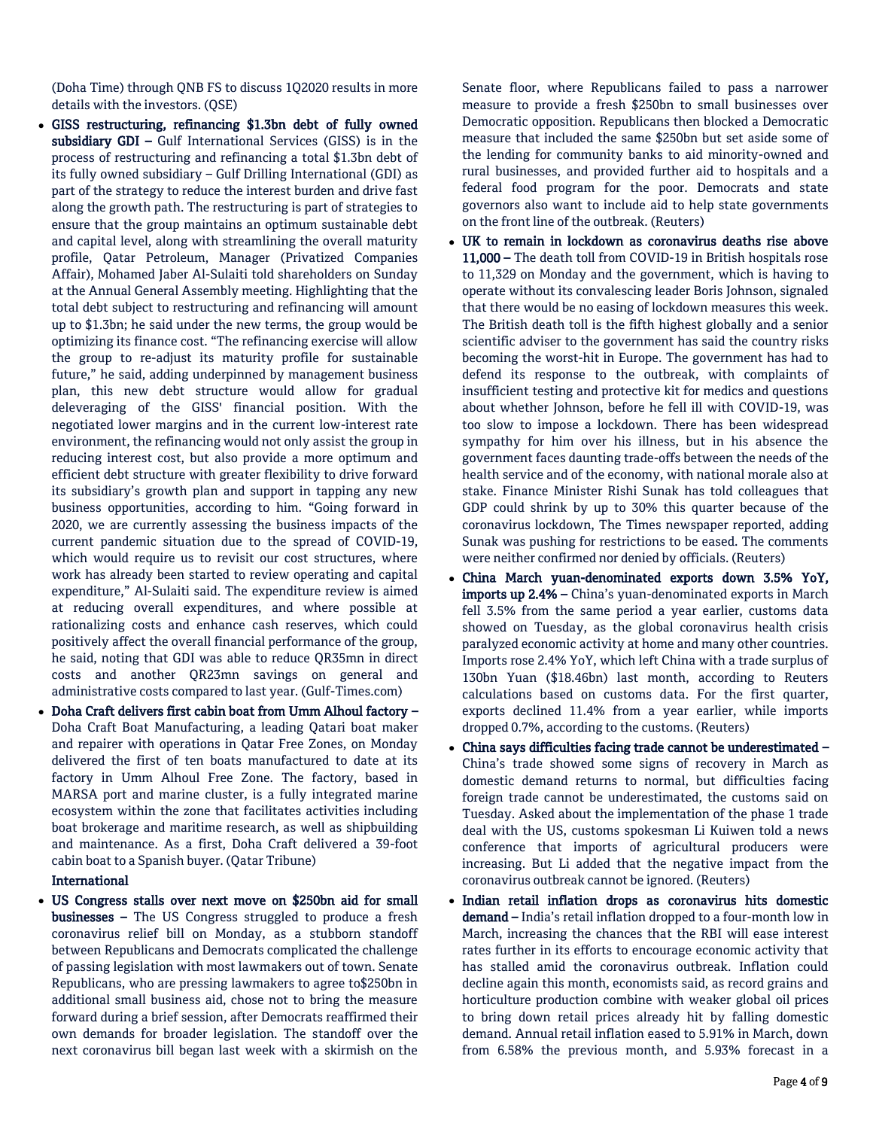(Doha Time) through QNB FS to discuss 1Q2020 results in more details with the investors. (QSE)

- GISS restructuring, refinancing \$1.3bn debt of fully owned subsidiary GDI – Gulf International Services (GISS) is in the process of restructuring and refinancing a total \$1.3bn debt of its fully owned subsidiary – Gulf Drilling International (GDI) as part of the strategy to reduce the interest burden and drive fast along the growth path. The restructuring is part of strategies to ensure that the group maintains an optimum sustainable debt and capital level, along with streamlining the overall maturity profile, Qatar Petroleum, Manager (Privatized Companies Affair), Mohamed Jaber Al-Sulaiti told shareholders on Sunday at the Annual General Assembly meeting. Highlighting that the total debt subject to restructuring and refinancing will amount up to \$1.3bn; he said under the new terms, the group would be optimizing its finance cost. "The refinancing exercise will allow the group to re-adjust its maturity profile for sustainable future," he said, adding underpinned by management business plan, this new debt structure would allow for gradual deleveraging of the GISS' financial position. With the negotiated lower margins and in the current low-interest rate environment, the refinancing would not only assist the group in reducing interest cost, but also provide a more optimum and efficient debt structure with greater flexibility to drive forward its subsidiary's growth plan and support in tapping any new business opportunities, according to him. "Going forward in 2020, we are currently assessing the business impacts of the current pandemic situation due to the spread of COVID-19, which would require us to revisit our cost structures, where work has already been started to review operating and capital expenditure," Al-Sulaiti said. The expenditure review is aimed at reducing overall expenditures, and where possible at rationalizing costs and enhance cash reserves, which could positively affect the overall financial performance of the group, he said, noting that GDI was able to reduce QR35mn in direct costs and another QR23mn savings on general and administrative costs compared to last year. (Gulf-Times.com)
- Doha Craft delivers first cabin boat from Umm Alhoul factory Doha Craft Boat Manufacturing, a leading Qatari boat maker and repairer with operations in Qatar Free Zones, on Monday delivered the first of ten boats manufactured to date at its factory in Umm Alhoul Free Zone. The factory, based in MARSA port and marine cluster, is a fully integrated marine ecosystem within the zone that facilitates activities including boat brokerage and maritime research, as well as shipbuilding and maintenance. As a first, Doha Craft delivered a 39-foot cabin boat to a Spanish buyer. (Qatar Tribune)

### International

 US Congress stalls over next move on \$250bn aid for small businesses – The US Congress struggled to produce a fresh coronavirus relief bill on Monday, as a stubborn standoff between Republicans and Democrats complicated the challenge of passing legislation with most lawmakers out of town. Senate Republicans, who are pressing lawmakers to agree to\$250bn in additional small business aid, chose not to bring the measure forward during a brief session, after Democrats reaffirmed their own demands for broader legislation. The standoff over the next coronavirus bill began last week with a skirmish on the

Senate floor, where Republicans failed to pass a narrower measure to provide a fresh \$250bn to small businesses over Democratic opposition. Republicans then blocked a Democratic measure that included the same \$250bn but set aside some of the lending for community banks to aid minority-owned and rural businesses, and provided further aid to hospitals and a federal food program for the poor. Democrats and state governors also want to include aid to help state governments on the front line of the outbreak. (Reuters)

- UK to remain in lockdown as coronavirus deaths rise above 11,000 – The death toll from COVID-19 in British hospitals rose to 11,329 on Monday and the government, which is having to operate without its convalescing leader Boris Johnson, signaled that there would be no easing of lockdown measures this week. The British death toll is the fifth highest globally and a senior scientific adviser to the government has said the country risks becoming the worst-hit in Europe. The government has had to defend its response to the outbreak, with complaints of insufficient testing and protective kit for medics and questions about whether Johnson, before he fell ill with COVID-19, was too slow to impose a lockdown. There has been widespread sympathy for him over his illness, but in his absence the government faces daunting trade-offs between the needs of the health service and of the economy, with national morale also at stake. Finance Minister Rishi Sunak has told colleagues that GDP could shrink by up to 30% this quarter because of the coronavirus lockdown, The Times newspaper reported, adding Sunak was pushing for restrictions to be eased. The comments were neither confirmed nor denied by officials. (Reuters)
- China March yuan-denominated exports down 3.5% YoY, imports up 2.4% – China's yuan-denominated exports in March fell 3.5% from the same period a year earlier, customs data showed on Tuesday, as the global coronavirus health crisis paralyzed economic activity at home and many other countries. Imports rose 2.4% YoY, which left China with a trade surplus of 130bn Yuan (\$18.46bn) last month, according to Reuters calculations based on customs data. For the first quarter, exports declined 11.4% from a year earlier, while imports dropped 0.7%, according to the customs. (Reuters)
- China says difficulties facing trade cannot be underestimated China's trade showed some signs of recovery in March as domestic demand returns to normal, but difficulties facing foreign trade cannot be underestimated, the customs said on Tuesday. Asked about the implementation of the phase 1 trade deal with the US, customs spokesman Li Kuiwen told a news conference that imports of agricultural producers were increasing. But Li added that the negative impact from the coronavirus outbreak cannot be ignored. (Reuters)
- Indian retail inflation drops as coronavirus hits domestic demand - India's retail inflation dropped to a four-month low in March, increasing the chances that the RBI will ease interest rates further in its efforts to encourage economic activity that has stalled amid the coronavirus outbreak. Inflation could decline again this month, economists said, as record grains and horticulture production combine with weaker global oil prices to bring down retail prices already hit by falling domestic demand. Annual retail inflation eased to 5.91% in March, down from 6.58% the previous month, and 5.93% forecast in a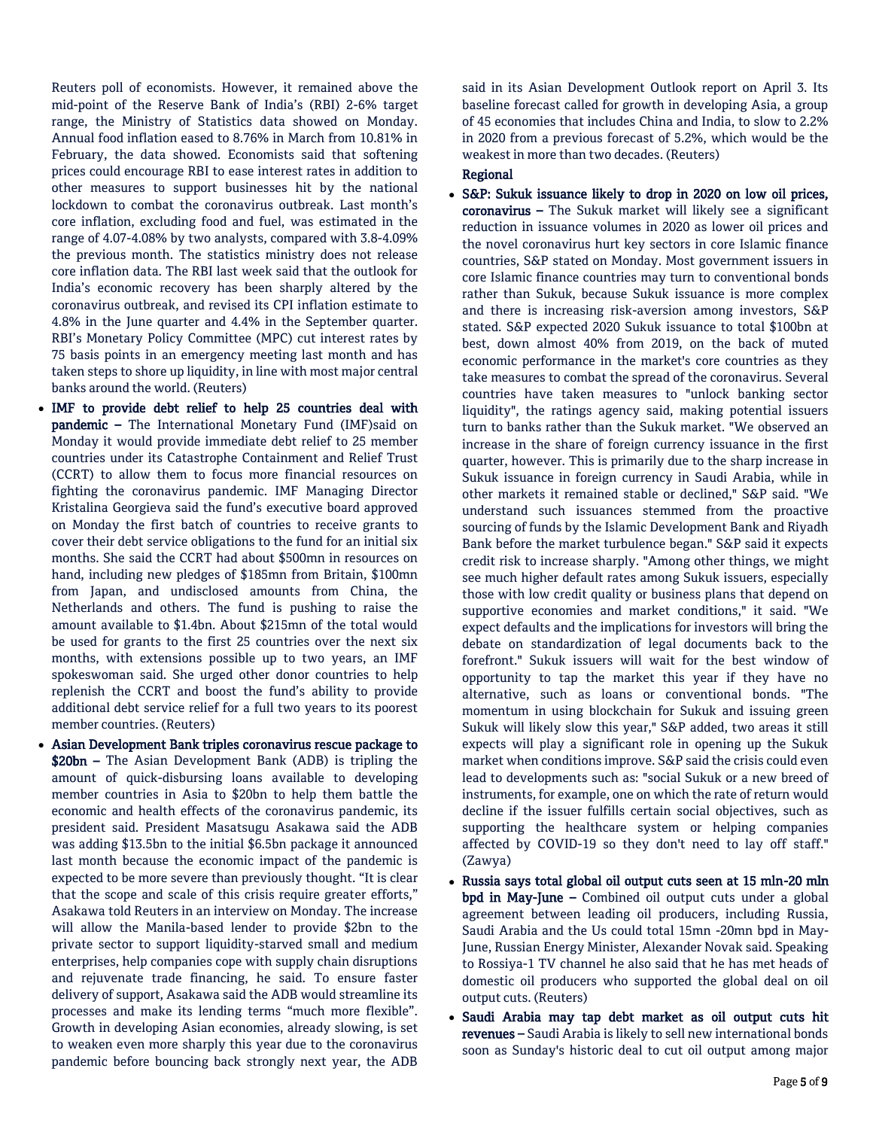Reuters poll of economists. However, it remained above the mid-point of the Reserve Bank of India's (RBI) 2-6% target range, the Ministry of Statistics data showed on Monday. Annual food inflation eased to 8.76% in March from 10.81% in February, the data showed. Economists said that softening prices could encourage RBI to ease interest rates in addition to other measures to support businesses hit by the national lockdown to combat the coronavirus outbreak. Last month's core inflation, excluding food and fuel, was estimated in the range of 4.07-4.08% by two analysts, compared with 3.8-4.09% the previous month. The statistics ministry does not release core inflation data. The RBI last week said that the outlook for India's economic recovery has been sharply altered by the coronavirus outbreak, and revised its CPI inflation estimate to 4.8% in the June quarter and 4.4% in the September quarter. RBI's Monetary Policy Committee (MPC) cut interest rates by 75 basis points in an emergency meeting last month and has taken steps to shore up liquidity, in line with most major central banks around the world. (Reuters)

- IMF to provide debt relief to help 25 countries deal with pandemic – The International Monetary Fund (IMF)said on Monday it would provide immediate debt relief to 25 member countries under its Catastrophe Containment and Relief Trust (CCRT) to allow them to focus more financial resources on fighting the coronavirus pandemic. IMF Managing Director Kristalina Georgieva said the fund's executive board approved on Monday the first batch of countries to receive grants to cover their debt service obligations to the fund for an initial six months. She said the CCRT had about \$500mn in resources on hand, including new pledges of \$185mn from Britain, \$100mn from Japan, and undisclosed amounts from China, the Netherlands and others. The fund is pushing to raise the amount available to \$1.4bn. About \$215mn of the total would be used for grants to the first 25 countries over the next six months, with extensions possible up to two years, an IMF spokeswoman said. She urged other donor countries to help replenish the CCRT and boost the fund's ability to provide additional debt service relief for a full two years to its poorest member countries. (Reuters)
- Asian Development Bank triples coronavirus rescue package to \$20bn - The Asian Development Bank (ADB) is tripling the amount of quick-disbursing loans available to developing member countries in Asia to \$20bn to help them battle the economic and health effects of the coronavirus pandemic, its president said. President Masatsugu Asakawa said the ADB was adding \$13.5bn to the initial \$6.5bn package it announced last month because the economic impact of the pandemic is expected to be more severe than previously thought. "It is clear that the scope and scale of this crisis require greater efforts," Asakawa told Reuters in an interview on Monday. The increase will allow the Manila-based lender to provide \$2bn to the private sector to support liquidity-starved small and medium enterprises, help companies cope with supply chain disruptions and rejuvenate trade financing, he said. To ensure faster delivery of support, Asakawa said the ADB would streamline its processes and make its lending terms "much more flexible". Growth in developing Asian economies, already slowing, is set to weaken even more sharply this year due to the coronavirus pandemic before bouncing back strongly next year, the ADB

said in its Asian Development Outlook report on April 3. Its baseline forecast called for growth in developing Asia, a group of 45 economies that includes China and India, to slow to 2.2% in 2020 from a previous forecast of 5.2%, which would be the weakest in more than two decades. (Reuters)

# Regional

- S&P: Sukuk issuance likely to drop in 2020 on low oil prices, coronavirus – The Sukuk market will likely see a significant reduction in issuance volumes in 2020 as lower oil prices and the novel coronavirus hurt key sectors in core Islamic finance countries, S&P stated on Monday. Most government issuers in core Islamic finance countries may turn to conventional bonds rather than Sukuk, because Sukuk issuance is more complex and there is increasing risk-aversion among investors, S&P stated. S&P expected 2020 Sukuk issuance to total \$100bn at best, down almost 40% from 2019, on the back of muted economic performance in the market's core countries as they take measures to combat the spread of the coronavirus. Several countries have taken measures to "unlock banking sector liquidity", the ratings agency said, making potential issuers turn to banks rather than the Sukuk market. "We observed an increase in the share of foreign currency issuance in the first quarter, however. This is primarily due to the sharp increase in Sukuk issuance in foreign currency in Saudi Arabia, while in other markets it remained stable or declined," S&P said. "We understand such issuances stemmed from the proactive sourcing of funds by the Islamic Development Bank and Riyadh Bank before the market turbulence began." S&P said it expects credit risk to increase sharply. "Among other things, we might see much higher default rates among Sukuk issuers, especially those with low credit quality or business plans that depend on supportive economies and market conditions," it said. "We expect defaults and the implications for investors will bring the debate on standardization of legal documents back to the forefront." Sukuk issuers will wait for the best window of opportunity to tap the market this year if they have no alternative, such as loans or conventional bonds. "The momentum in using blockchain for Sukuk and issuing green Sukuk will likely slow this year," S&P added, two areas it still expects will play a significant role in opening up the Sukuk market when conditions improve. S&P said the crisis could even lead to developments such as: "social Sukuk or a new breed of instruments, for example, one on which the rate of return would decline if the issuer fulfills certain social objectives, such as supporting the healthcare system or helping companies affected by COVID-19 so they don't need to lay off staff." (Zawya)
- Russia says total global oil output cuts seen at 15 mln-20 mln bpd in May-June – Combined oil output cuts under a global agreement between leading oil producers, including Russia, Saudi Arabia and the Us could total 15mn -20mn bpd in May-June, Russian Energy Minister, Alexander Novak said. Speaking to Rossiya-1 TV channel he also said that he has met heads of domestic oil producers who supported the global deal on oil output cuts. (Reuters)
- Saudi Arabia may tap debt market as oil output cuts hit revenues – Saudi Arabia is likely to sell new international bonds soon as Sunday's historic deal to cut oil output among major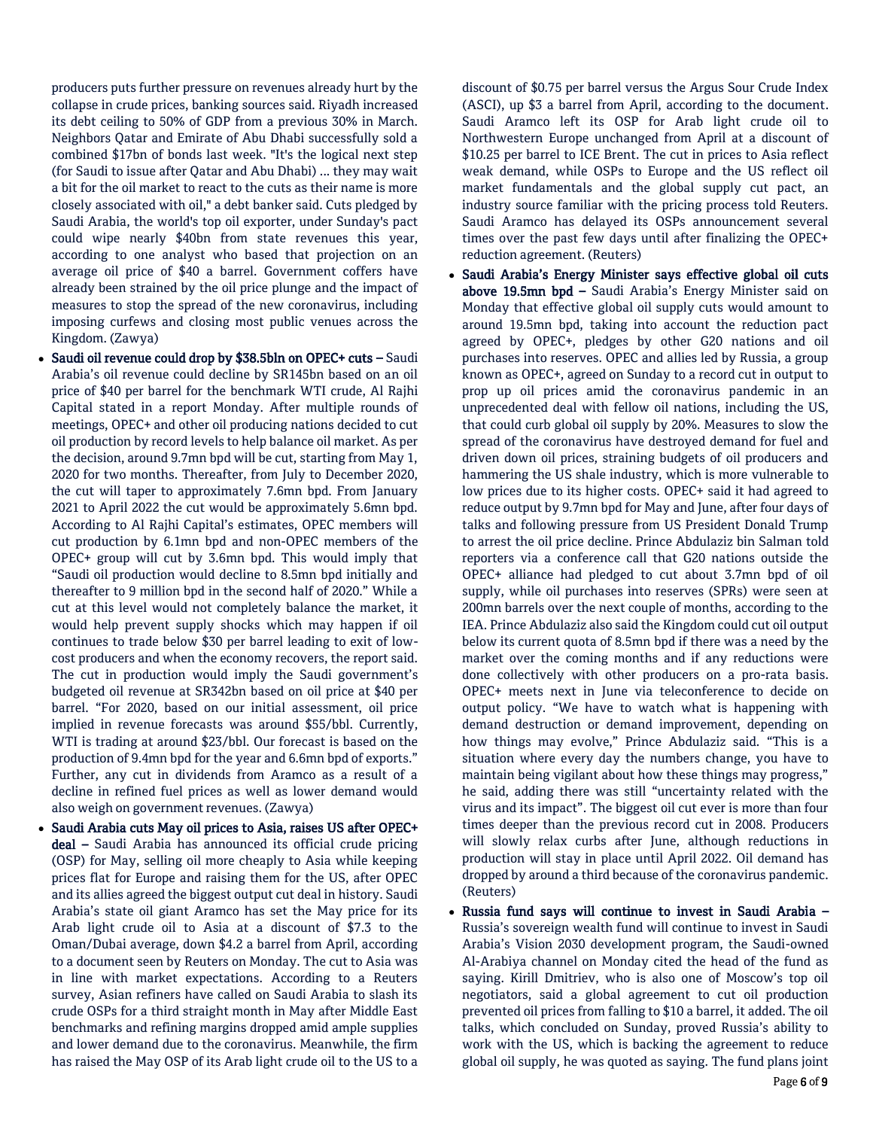producers puts further pressure on revenues already hurt by the collapse in crude prices, banking sources said. Riyadh increased its debt ceiling to 50% of GDP from a previous 30% in March. Neighbors Qatar and Emirate of Abu Dhabi successfully sold a combined \$17bn of bonds last week. "It's the logical next step (for Saudi to issue after Qatar and Abu Dhabi) ... they may wait a bit for the oil market to react to the cuts as their name is more closely associated with oil," a debt banker said. Cuts pledged by Saudi Arabia, the world's top oil exporter, under Sunday's pact could wipe nearly \$40bn from state revenues this year, according to one analyst who based that projection on an average oil price of \$40 a barrel. Government coffers have already been strained by the oil price plunge and the impact of measures to stop the spread of the new coronavirus, including imposing curfews and closing most public venues across the Kingdom. (Zawya)

- Saudi oil revenue could drop by \$38.5bln on OPEC+ cuts Saudi Arabia's oil revenue could decline by SR145bn based on an oil price of \$40 per barrel for the benchmark WTI crude, Al Rajhi Capital stated in a report Monday. After multiple rounds of meetings, OPEC+ and other oil producing nations decided to cut oil production by record levels to help balance oil market. As per the decision, around 9.7mn bpd will be cut, starting from May 1, 2020 for two months. Thereafter, from July to December 2020, the cut will taper to approximately 7.6mn bpd. From January 2021 to April 2022 the cut would be approximately 5.6mn bpd. According to Al Rajhi Capital's estimates, OPEC members will cut production by 6.1mn bpd and non-OPEC members of the OPEC+ group will cut by 3.6mn bpd. This would imply that "Saudi oil production would decline to 8.5mn bpd initially and thereafter to 9 million bpd in the second half of 2020." While a cut at this level would not completely balance the market, it would help prevent supply shocks which may happen if oil continues to trade below \$30 per barrel leading to exit of lowcost producers and when the economy recovers, the report said. The cut in production would imply the Saudi government's budgeted oil revenue at SR342bn based on oil price at \$40 per barrel. "For 2020, based on our initial assessment, oil price implied in revenue forecasts was around \$55/bbl. Currently, WTI is trading at around \$23/bbl. Our forecast is based on the production of 9.4mn bpd for the year and 6.6mn bpd of exports." Further, any cut in dividends from Aramco as a result of a decline in refined fuel prices as well as lower demand would also weigh on government revenues. (Zawya)
- Saudi Arabia cuts May oil prices to Asia, raises US after OPEC+ deal – Saudi Arabia has announced its official crude pricing (OSP) for May, selling oil more cheaply to Asia while keeping prices flat for Europe and raising them for the US, after OPEC and its allies agreed the biggest output cut deal in history. Saudi Arabia's state oil giant Aramco has set the May price for its Arab light crude oil to Asia at a discount of \$7.3 to the Oman/Dubai average, down \$4.2 a barrel from April, according to a document seen by Reuters on Monday. The cut to Asia was in line with market expectations. According to a Reuters survey, Asian refiners have called on Saudi Arabia to slash its crude OSPs for a third straight month in May after Middle East benchmarks and refining margins dropped amid ample supplies and lower demand due to the coronavirus. Meanwhile, the firm has raised the May OSP of its Arab light crude oil to the US to a

discount of \$0.75 per barrel versus the Argus Sour Crude Index (ASCI), up \$3 a barrel from April, according to the document. Saudi Aramco left its OSP for Arab light crude oil to Northwestern Europe unchanged from April at a discount of \$10.25 per barrel to ICE Brent. The cut in prices to Asia reflect weak demand, while OSPs to Europe and the US reflect oil market fundamentals and the global supply cut pact, an industry source familiar with the pricing process told Reuters. Saudi Aramco has delayed its OSPs announcement several times over the past few days until after finalizing the OPEC+ reduction agreement. (Reuters)

- Saudi Arabia's Energy Minister says effective global oil cuts above 19.5mn bpd – Saudi Arabia's Energy Minister said on Monday that effective global oil supply cuts would amount to around 19.5mn bpd, taking into account the reduction pact agreed by OPEC+, pledges by other G20 nations and oil purchases into reserves. OPEC and allies led by Russia, a group known as OPEC+, agreed on Sunday to a record cut in output to prop up oil prices amid the coronavirus pandemic in an unprecedented deal with fellow oil nations, including the US, that could curb global oil supply by 20%. Measures to slow the spread of the coronavirus have destroyed demand for fuel and driven down oil prices, straining budgets of oil producers and hammering the US shale industry, which is more vulnerable to low prices due to its higher costs. OPEC+ said it had agreed to reduce output by 9.7mn bpd for May and June, after four days of talks and following pressure from US President Donald Trump to arrest the oil price decline. Prince Abdulaziz bin Salman told reporters via a conference call that G20 nations outside the OPEC+ alliance had pledged to cut about 3.7mn bpd of oil supply, while oil purchases into reserves (SPRs) were seen at 200mn barrels over the next couple of months, according to the IEA. Prince Abdulaziz also said the Kingdom could cut oil output below its current quota of 8.5mn bpd if there was a need by the market over the coming months and if any reductions were done collectively with other producers on a pro-rata basis. OPEC+ meets next in June via teleconference to decide on output policy. "We have to watch what is happening with demand destruction or demand improvement, depending on how things may evolve," Prince Abdulaziz said. "This is a situation where every day the numbers change, you have to maintain being vigilant about how these things may progress," he said, adding there was still "uncertainty related with the virus and its impact". The biggest oil cut ever is more than four times deeper than the previous record cut in 2008. Producers will slowly relax curbs after June, although reductions in production will stay in place until April 2022. Oil demand has dropped by around a third because of the coronavirus pandemic. (Reuters)
- Russia fund says will continue to invest in Saudi Arabia Russia's sovereign wealth fund will continue to invest in Saudi Arabia's Vision 2030 development program, the Saudi-owned Al-Arabiya channel on Monday cited the head of the fund as saying. Kirill Dmitriev, who is also one of Moscow's top oil negotiators, said a global agreement to cut oil production prevented oil prices from falling to \$10 a barrel, it added. The oil talks, which concluded on Sunday, proved Russia's ability to work with the US, which is backing the agreement to reduce global oil supply, he was quoted as saying. The fund plans joint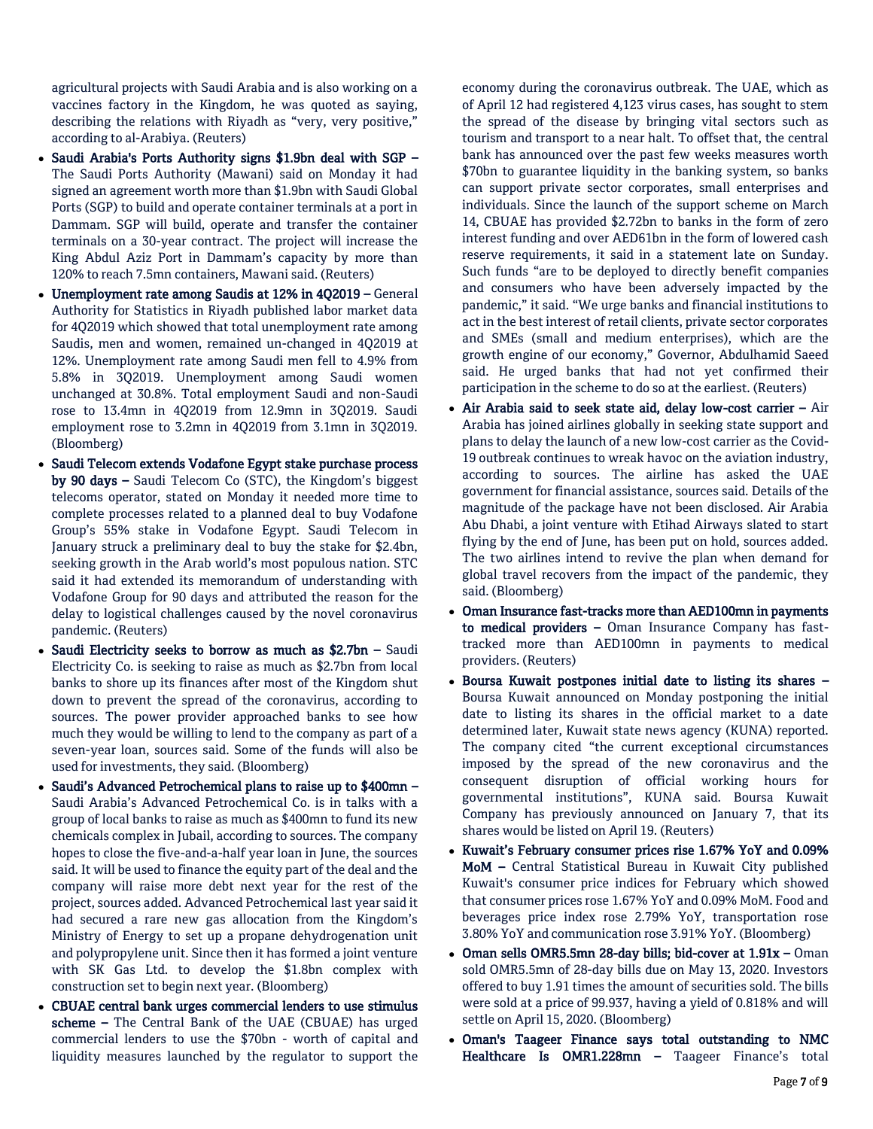agricultural projects with Saudi Arabia and is also working on a vaccines factory in the Kingdom, he was quoted as saying, describing the relations with Riyadh as "very, very positive," according to al-Arabiya. (Reuters)

- Saudi Arabia's Ports Authority signs \$1.9bn deal with SGP The Saudi Ports Authority (Mawani) said on Monday it had signed an agreement worth more than \$1.9bn with Saudi Global Ports (SGP) to build and operate container terminals at a port in Dammam. SGP will build, operate and transfer the container terminals on a 30-year contract. The project will increase the King Abdul Aziz Port in Dammam's capacity by more than 120% to reach 7.5mn containers, Mawani said. (Reuters)
- Unemployment rate among Saudis at 12% in 4Q2019 General Authority for Statistics in Riyadh published labor market data for 4Q2019 which showed that total unemployment rate among Saudis, men and women, remained un-changed in 4Q2019 at 12%. Unemployment rate among Saudi men fell to 4.9% from 5.8% in 3Q2019. Unemployment among Saudi women unchanged at 30.8%. Total employment Saudi and non-Saudi rose to 13.4mn in 4Q2019 from 12.9mn in 3Q2019. Saudi employment rose to 3.2mn in 4Q2019 from 3.1mn in 3Q2019. (Bloomberg)
- Saudi Telecom extends Vodafone Egypt stake purchase process by 90 days – Saudi Telecom Co (STC), the Kingdom's biggest telecoms operator, stated on Monday it needed more time to complete processes related to a planned deal to buy Vodafone Group's 55% stake in Vodafone Egypt. Saudi Telecom in January struck a preliminary deal to buy the stake for \$2.4bn, seeking growth in the Arab world's most populous nation. STC said it had extended its memorandum of understanding with Vodafone Group for 90 days and attributed the reason for the delay to logistical challenges caused by the novel coronavirus pandemic. (Reuters)
- Saudi Electricity seeks to borrow as much as \$2.7bn Saudi Electricity Co. is seeking to raise as much as \$2.7bn from local banks to shore up its finances after most of the Kingdom shut down to prevent the spread of the coronavirus, according to sources. The power provider approached banks to see how much they would be willing to lend to the company as part of a seven-year loan, sources said. Some of the funds will also be used for investments, they said. (Bloomberg)
- Saudi's Advanced Petrochemical plans to raise up to \$400mn Saudi Arabia's Advanced Petrochemical Co. is in talks with a group of local banks to raise as much as \$400mn to fund its new chemicals complex in Jubail, according to sources. The company hopes to close the five-and-a-half year loan in June, the sources said. It will be used to finance the equity part of the deal and the company will raise more debt next year for the rest of the project, sources added. Advanced Petrochemical last year said it had secured a rare new gas allocation from the Kingdom's Ministry of Energy to set up a propane dehydrogenation unit and polypropylene unit. Since then it has formed a joint venture with SK Gas Ltd. to develop the \$1.8bn complex with construction set to begin next year. (Bloomberg)
- CBUAE central bank urges commercial lenders to use stimulus scheme – The Central Bank of the UAE (CBUAE) has urged commercial lenders to use the \$70bn - worth of capital and liquidity measures launched by the regulator to support the

economy during the coronavirus outbreak. The UAE, which as of April 12 had registered 4,123 virus cases, has sought to stem the spread of the disease by bringing vital sectors such as tourism and transport to a near halt. To offset that, the central bank has announced over the past few weeks measures worth \$70bn to guarantee liquidity in the banking system, so banks can support private sector corporates, small enterprises and individuals. Since the launch of the support scheme on March 14, CBUAE has provided \$2.72bn to banks in the form of zero interest funding and over AED61bn in the form of lowered cash reserve requirements, it said in a statement late on Sunday. Such funds "are to be deployed to directly benefit companies and consumers who have been adversely impacted by the pandemic," it said. "We urge banks and financial institutions to act in the best interest of retail clients, private sector corporates and SMEs (small and medium enterprises), which are the growth engine of our economy," Governor, Abdulhamid Saeed said. He urged banks that had not yet confirmed their participation in the scheme to do so at the earliest. (Reuters)

- Air Arabia said to seek state aid, delay low-cost carrier Air Arabia has joined airlines globally in seeking state support and plans to delay the launch of a new low-cost carrier as the Covid-19 outbreak continues to wreak havoc on the aviation industry, according to sources. The airline has asked the UAE government for financial assistance, sources said. Details of the magnitude of the package have not been disclosed. Air Arabia Abu Dhabi, a joint venture with Etihad Airways slated to start flying by the end of June, has been put on hold, sources added. The two airlines intend to revive the plan when demand for global travel recovers from the impact of the pandemic, they said. (Bloomberg)
- Oman Insurance fast-tracks more than AED100mn in payments to medical providers - Oman Insurance Company has fasttracked more than AED100mn in payments to medical providers. (Reuters)
- Boursa Kuwait postpones initial date to listing its shares Boursa Kuwait announced on Monday postponing the initial date to listing its shares in the official market to a date determined later, Kuwait state news agency (KUNA) reported. The company cited "the current exceptional circumstances imposed by the spread of the new coronavirus and the consequent disruption of official working hours for governmental institutions", KUNA said. Boursa Kuwait Company has previously announced on January 7, that its shares would be listed on April 19. (Reuters)
- Kuwait's February consumer prices rise 1.67% YoY and 0.09% MoM – Central Statistical Bureau in Kuwait City published Kuwait's consumer price indices for February which showed that consumer prices rose 1.67% YoY and 0.09% MoM. Food and beverages price index rose 2.79% YoY, transportation rose 3.80% YoY and communication rose 3.91% YoY. (Bloomberg)
- Oman sells OMR5.5mn 28-day bills; bid-cover at 1.91x Oman sold OMR5.5mn of 28-day bills due on May 13, 2020. Investors offered to buy 1.91 times the amount of securities sold. The bills were sold at a price of 99.937, having a yield of 0.818% and will settle on April 15, 2020. (Bloomberg)
- Oman's Taageer Finance says total outstanding to NMC Healthcare Is OMR1.228mn – Taageer Finance's total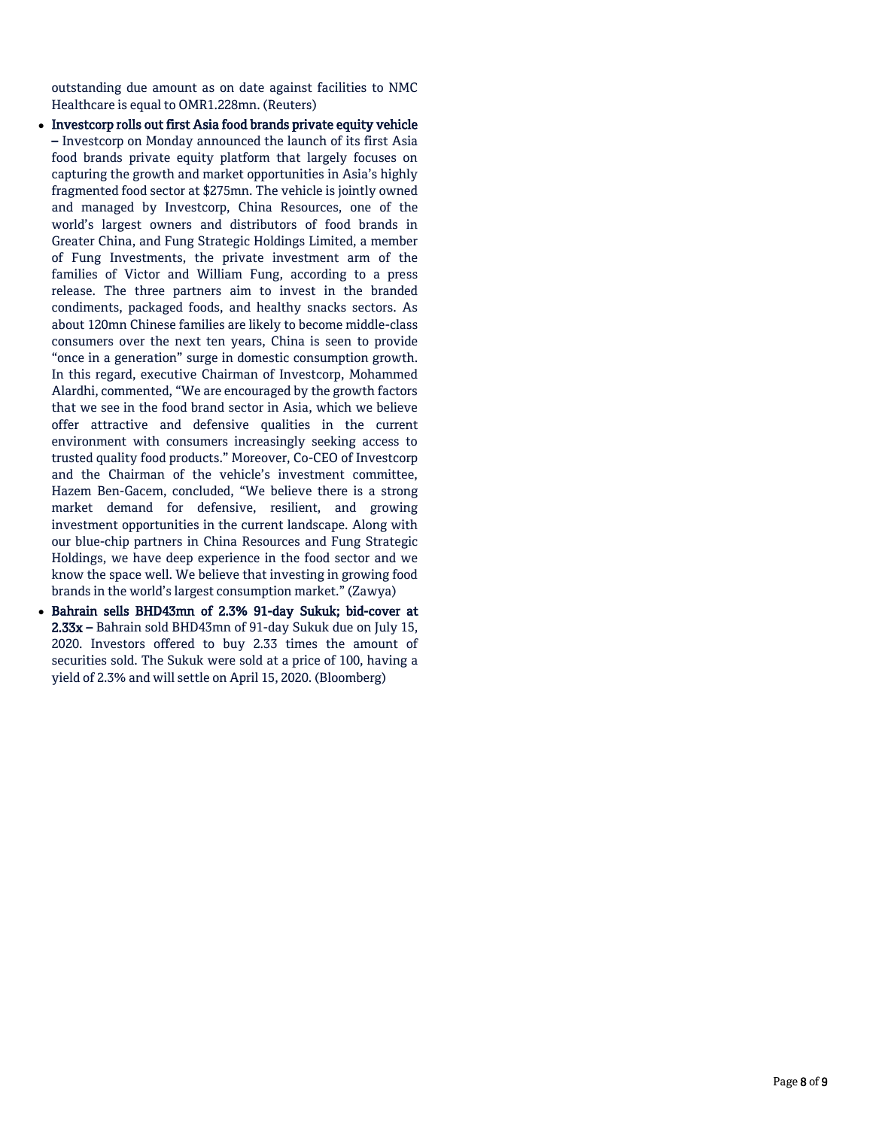outstanding due amount as on date against facilities to NMC Healthcare is equal to OMR1.228mn. (Reuters)

- Investcorp rolls out first Asia food brands private equity vehicle – Investcorp on Monday announced the launch of its first Asia food brands private equity platform that largely focuses on capturing the growth and market opportunities in Asia's highly fragmented food sector at \$275mn. The vehicle is jointly owned and managed by Investcorp, China Resources, one of the world's largest owners and distributors of food brands in Greater China, and Fung Strategic Holdings Limited, a member of Fung Investments, the private investment arm of the families of Victor and William Fung, according to a press release. The three partners aim to invest in the branded condiments, packaged foods, and healthy snacks sectors. As about 120mn Chinese families are likely to become middle-class consumers over the next ten years, China is seen to provide "once in a generation" surge in domestic consumption growth. In this regard, executive Chairman of Investcorp, Mohammed Alardhi, commented, "We are encouraged by the growth factors that we see in the food brand sector in Asia, which we believe offer attractive and defensive qualities in the current environment with consumers increasingly seeking access to trusted quality food products." Moreover, Co-CEO of Investcorp and the Chairman of the vehicle's investment committee, Hazem Ben-Gacem, concluded, "We believe there is a strong market demand for defensive, resilient, and growing investment opportunities in the current landscape. Along with our blue-chip partners in China Resources and Fung Strategic Holdings, we have deep experience in the food sector and we know the space well. We believe that investing in growing food brands in the world's largest consumption market." (Zawya)
- Bahrain sells BHD43mn of 2.3% 91-day Sukuk; bid-cover at 2.33x – Bahrain sold BHD43mn of 91-day Sukuk due on July 15, 2020. Investors offered to buy 2.33 times the amount of securities sold. The Sukuk were sold at a price of 100, having a yield of 2.3% and will settle on April 15, 2020. (Bloomberg)